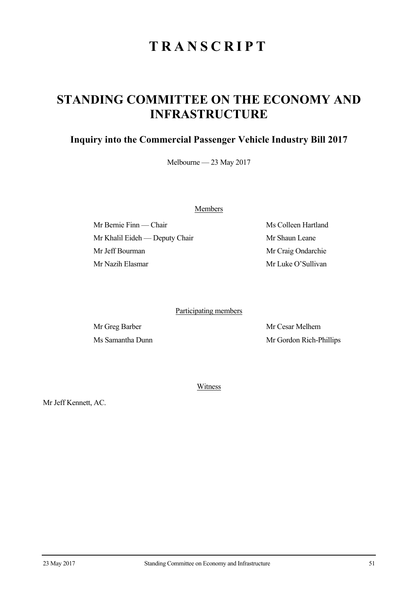## **TRANSCRIPT**

## **STANDING COMMITTEE ON THE ECONOMY AND INFRASTRUCTURE**

## **Inquiry into the Commercial Passenger Vehicle Industry Bill 2017**

Melbourne — 23 May 2017

Members

Mr Bernie Finn — Chair Ms Colleen Hartland Mr Khalil Eideh — Deputy Chair Mr Shaun Leane Mr Jeff Bourman Mr Craig Ondarchie Mr Nazih Elasmar Mr Luke O'Sullivan

Participating members

Mr Greg Barber Mr Cesar Melhem Ms Samantha Dunn Mr Gordon Rich-Phillips

Witness

Mr Jeff Kennett, AC.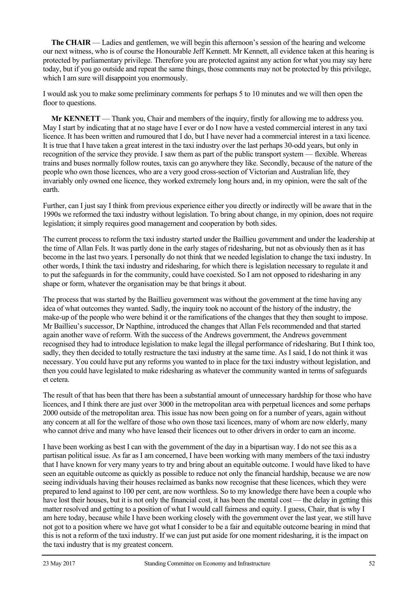**The CHAIR** — Ladies and gentlemen, we will begin this afternoon's session of the hearing and welcome our next witness, who is of course the Honourable Jeff Kennett. Mr Kennett, all evidence taken at this hearing is protected by parliamentary privilege. Therefore you are protected against any action for what you may say here today, but if you go outside and repeat the same things, those comments may not be protected by this privilege, which I am sure will disappoint you enormously.

I would ask you to make some preliminary comments for perhaps 5 to 10 minutes and we will then open the floor to questions.

**Mr KENNETT** — Thank you, Chair and members of the inquiry, firstly for allowing me to address you. May I start by indicating that at no stage have I ever or do I now have a vested commercial interest in any taxi licence. It has been written and rumoured that I do, but I have never had a commercial interest in a taxi licence. It is true that I have taken a great interest in the taxi industry over the last perhaps 30-odd years, but only in recognition of the service they provide. I saw them as part of the public transport system — flexible. Whereas trains and buses normally follow routes, taxis can go anywhere they like. Secondly, because of the nature of the people who own those licences, who are a very good cross-section of Victorian and Australian life, they invariably only owned one licence, they worked extremely long hours and, in my opinion, were the salt of the earth.

Further, can I just say I think from previous experience either you directly or indirectly will be aware that in the 1990s we reformed the taxi industry without legislation. To bring about change, in my opinion, does not require legislation; it simply requires good management and cooperation by both sides.

The current process to reform the taxi industry started under the Baillieu government and under the leadership at the time of Allan Fels. It was partly done in the early stages of ridesharing, but not as obviously then as it has become in the last two years. I personally do not think that we needed legislation to change the taxi industry. In other words, I think the taxi industry and ridesharing, for which there is legislation necessary to regulate it and to put the safeguards in for the community, could have coexisted. So I am not opposed to ridesharing in any shape or form, whatever the organisation may be that brings it about.

The process that was started by the Baillieu government was without the government at the time having any idea of what outcomes they wanted. Sadly, the inquiry took no account of the history of the industry, the make-up of the people who were behind it or the ramifications of the changes that they then sought to impose. Mr Baillieu's successor, Dr Napthine, introduced the changes that Allan Fels recommended and that started again another wave of reform. With the success of the Andrews government, the Andrews government recognised they had to introduce legislation to make legal the illegal performance of ridesharing. But I think too, sadly, they then decided to totally restructure the taxi industry at the same time. As I said, I do not think it was necessary. You could have put any reforms you wanted to in place for the taxi industry without legislation, and then you could have legislated to make ridesharing as whatever the community wanted in terms of safeguards et cetera.

The result of that has been that there has been a substantial amount of unnecessary hardship for those who have licences, and I think there are just over 3000 in the metropolitan area with perpetual licences and some perhaps 2000 outside of the metropolitan area. This issue has now been going on for a number of years, again without any concern at all for the welfare of those who own those taxi licences, many of whom are now elderly, many who cannot drive and many who have leased their licences out to other drivers in order to earn an income.

I have been working as best I can with the government of the day in a bipartisan way. I do not see this as a partisan political issue. As far as I am concerned, I have been working with many members of the taxi industry that I have known for very many years to try and bring about an equitable outcome. I would have liked to have seen an equitable outcome as quickly as possible to reduce not only the financial hardship, because we are now seeing individuals having their houses reclaimed as banks now recognise that these licences, which they were prepared to lend against to 100 per cent, are now worthless. So to my knowledge there have been a couple who have lost their houses, but it is not only the financial cost, it has been the mental cost — the delay in getting this matter resolved and getting to a position of what I would call fairness and equity. I guess, Chair, that is why I am here today, because while I have been working closely with the government over the last year, we still have not got to a position where we have got what I consider to be a fair and equitable outcome bearing in mind that this is not a reform of the taxi industry. If we can just put aside for one moment ridesharing, it is the impact on the taxi industry that is my greatest concern.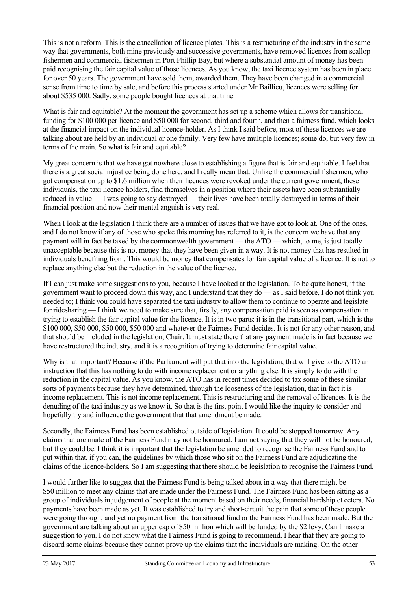This is not a reform. This is the cancellation of licence plates. This is a restructuring of the industry in the same way that governments, both mine previously and successive governments, have removed licences from scallop fishermen and commercial fishermen in Port Phillip Bay, but where a substantial amount of money has been paid recognising the fair capital value of those licences. As you know, the taxi licence system has been in place for over 50 years. The government have sold them, awarded them. They have been changed in a commercial sense from time to time by sale, and before this process started under Mr Baillieu, licences were selling for about \$535 000. Sadly, some people bought licences at that time.

What is fair and equitable? At the moment the government has set up a scheme which allows for transitional funding for \$100 000 per licence and \$50 000 for second, third and fourth, and then a fairness fund, which looks at the financial impact on the individual licence-holder. As I think I said before, most of these licences we are talking about are held by an individual or one family. Very few have multiple licences; some do, but very few in terms of the main. So what is fair and equitable?

My great concern is that we have got nowhere close to establishing a figure that is fair and equitable. I feel that there is a great social injustice being done here, and I really mean that. Unlike the commercial fishermen, who got compensation up to \$1.6 million when their licences were revoked under the current government, these individuals, the taxi licence holders, find themselves in a position where their assets have been substantially reduced in value — I was going to say destroyed — their lives have been totally destroyed in terms of their financial position and now their mental anguish is very real.

When I look at the legislation I think there are a number of issues that we have got to look at. One of the ones, and I do not know if any of those who spoke this morning has referred to it, is the concern we have that any payment will in fact be taxed by the commonwealth government — the ATO — which, to me, is just totally unacceptable because this is not money that they have been given in a way. It is not money that has resulted in individuals benefiting from. This would be money that compensates for fair capital value of a licence. It is not to replace anything else but the reduction in the value of the licence.

If I can just make some suggestions to you, because I have looked at the legislation. To be quite honest, if the government want to proceed down this way, and I understand that they do — as I said before, I do not think you needed to; I think you could have separated the taxi industry to allow them to continue to operate and legislate for ridesharing — I think we need to make sure that, firstly, any compensation paid is seen as compensation in trying to establish the fair capital value for the licence. It is in two parts: it is in the transitional part, which is the \$100 000, \$50 000, \$50 000, \$50 000 and whatever the Fairness Fund decides. It is not for any other reason, and that should be included in the legislation, Chair. It must state there that any payment made is in fact because we have restructured the industry, and it is a recognition of trying to determine fair capital value.

Why is that important? Because if the Parliament will put that into the legislation, that will give to the ATO an instruction that this has nothing to do with income replacement or anything else. It is simply to do with the reduction in the capital value. As you know, the ATO has in recent times decided to tax some of these similar sorts of payments because they have determined, through the looseness of the legislation, that in fact it is income replacement. This is not income replacement. This is restructuring and the removal of licences. It is the denuding of the taxi industry as we know it. So that is the first point I would like the inquiry to consider and hopefully try and influence the government that that amendment be made.

Secondly, the Fairness Fund has been established outside of legislation. It could be stopped tomorrow. Any claims that are made of the Fairness Fund may not be honoured. I am not saying that they will not be honoured, but they could be. I think it is important that the legislation be amended to recognise the Fairness Fund and to put within that, if you can, the guidelines by which those who sit on the Fairness Fund are adjudicating the claims of the licence-holders. So I am suggesting that there should be legislation to recognise the Fairness Fund.

I would further like to suggest that the Fairness Fund is being talked about in a way that there might be \$50 million to meet any claims that are made under the Fairness Fund. The Fairness Fund has been sitting as a group of individuals in judgement of people at the moment based on their needs, financial hardship et cetera. No payments have been made as yet. It was established to try and short-circuit the pain that some of these people were going through, and yet no payment from the transitional fund or the Fairness Fund has been made. But the government are talking about an upper cap of \$50 million which will be funded by the \$2 levy. Can I make a suggestion to you. I do not know what the Fairness Fund is going to recommend. I hear that they are going to discard some claims because they cannot prove up the claims that the individuals are making. On the other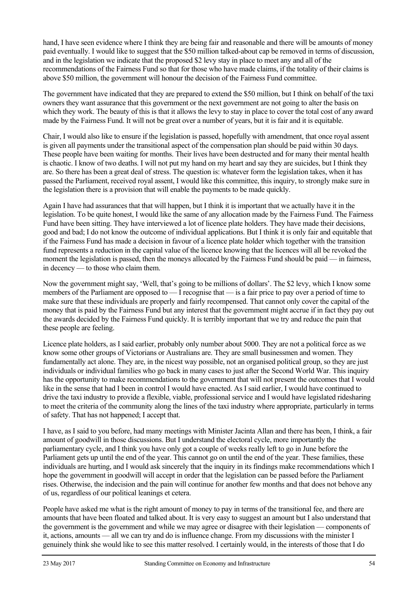hand, I have seen evidence where I think they are being fair and reasonable and there will be amounts of money paid eventually. I would like to suggest that the \$50 million talked-about cap be removed in terms of discussion, and in the legislation we indicate that the proposed \$2 levy stay in place to meet any and all of the recommendations of the Fairness Fund so that for those who have made claims, if the totality of their claims is above \$50 million, the government will honour the decision of the Fairness Fund committee.

The government have indicated that they are prepared to extend the \$50 million, but I think on behalf of the taxi owners they want assurance that this government or the next government are not going to alter the basis on which they work. The beauty of this is that it allows the levy to stay in place to cover the total cost of any award made by the Fairness Fund. It will not be great over a number of years, but it is fair and it is equitable.

Chair, I would also like to ensure if the legislation is passed, hopefully with amendment, that once royal assent is given all payments under the transitional aspect of the compensation plan should be paid within 30 days. These people have been waiting for months. Their lives have been destructed and for many their mental health is chaotic. I know of two deaths. I will not put my hand on my heart and say they are suicides, but I think they are. So there has been a great deal of stress. The question is: whatever form the legislation takes, when it has passed the Parliament, received royal assent, I would like this committee, this inquiry, to strongly make sure in the legislation there is a provision that will enable the payments to be made quickly.

Again I have had assurances that that will happen, but I think it is important that we actually have it in the legislation. To be quite honest, I would like the same of any allocation made by the Fairness Fund. The Fairness Fund have been sitting. They have interviewed a lot of licence plate holders. They have made their decisions, good and bad; I do not know the outcome of individual applications. But I think it is only fair and equitable that if the Fairness Fund has made a decision in favour of a licence plate holder which together with the transition fund represents a reduction in the capital value of the licence knowing that the licences will all be revoked the moment the legislation is passed, then the moneys allocated by the Fairness Fund should be paid — in fairness, in decency — to those who claim them.

Now the government might say, 'Well, that's going to be millions of dollars'. The \$2 levy, which I know some members of the Parliament are opposed to — I recognise that — is a fair price to pay over a period of time to make sure that these individuals are properly and fairly recompensed. That cannot only cover the capital of the money that is paid by the Fairness Fund but any interest that the government might accrue if in fact they pay out the awards decided by the Fairness Fund quickly. It is terribly important that we try and reduce the pain that these people are feeling.

Licence plate holders, as I said earlier, probably only number about 5000. They are not a political force as we know some other groups of Victorians or Australians are. They are small businessmen and women. They fundamentally act alone. They are, in the nicest way possible, not an organised political group, so they are just individuals or individual families who go back in many cases to just after the Second World War. This inquiry has the opportunity to make recommendations to the government that will not present the outcomes that I would like in the sense that had I been in control I would have enacted. As I said earlier, I would have continued to drive the taxi industry to provide a flexible, viable, professional service and I would have legislated ridesharing to meet the criteria of the community along the lines of the taxi industry where appropriate, particularly in terms of safety. That has not happened; I accept that.

I have, as I said to you before, had many meetings with Minister Jacinta Allan and there has been, I think, a fair amount of goodwill in those discussions. But I understand the electoral cycle, more importantly the parliamentary cycle, and I think you have only got a couple of weeks really left to go in June before the Parliament gets up until the end of the year. This cannot go on until the end of the year. These families, these individuals are hurting, and I would ask sincerely that the inquiry in its findings make recommendations which I hope the government in goodwill will accept in order that the legislation can be passed before the Parliament rises. Otherwise, the indecision and the pain will continue for another few months and that does not behove any of us, regardless of our political leanings et cetera.

People have asked me what is the right amount of money to pay in terms of the transitional fee, and there are amounts that have been floated and talked about. It is very easy to suggest an amount but I also understand that the government is the government and while we may agree or disagree with their legislation — components of it, actions, amounts — all we can try and do is influence change. From my discussions with the minister I genuinely think she would like to see this matter resolved. I certainly would, in the interests of those that I do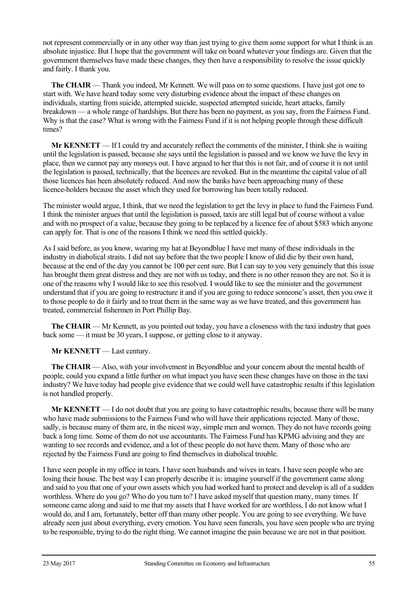not represent commercially or in any other way than just trying to give them some support for what I think is an absolute injustice. But I hope that the government will take on board whatever your findings are. Given that the government themselves have made these changes, they then have a responsibility to resolve the issue quickly and fairly. I thank you.

**The CHAIR** — Thank you indeed, Mr Kennett. We will pass on to some questions. I have just got one to start with. We have heard today some very disturbing evidence about the impact of these changes on individuals, starting from suicide, attempted suicide, suspected attempted suicide, heart attacks, family breakdown — a whole range of hardships. But there has been no payment, as you say, from the Fairness Fund. Why is that the case? What is wrong with the Fairness Fund if it is not helping people through these difficult times?

**Mr KENNETT** — If I could try and accurately reflect the comments of the minister, I think she is waiting until the legislation is passed, because she says until the legislation is passed and we know we have the levy in place, then we cannot pay any moneys out. I have argued to her that this is not fair, and of course it is not until the legislation is passed, technically, that the licences are revoked. But in the meantime the capital value of all those licences has been absolutely reduced. And now the banks have been approaching many of these licence-holders because the asset which they used for borrowing has been totally reduced.

The minister would argue, I think, that we need the legislation to get the levy in place to fund the Fairness Fund. I think the minister argues that until the legislation is passed, taxis are still legal but of course without a value and with no prospect of a value, because they going to be replaced by a licence fee of about \$583 which anyone can apply for. That is one of the reasons I think we need this settled quickly.

As I said before, as you know, wearing my hat at Beyondblue I have met many of these individuals in the industry in diabolical straits. I did not say before that the two people I know of did die by their own hand, because at the end of the day you cannot be 100 per cent sure. But I can say to you very genuinely that this issue has brought them great distress and they are not with us today, and there is no other reason they are not. So it is one of the reasons why I would like to see this resolved. I would like to see the minister and the government understand that if you are going to restructure it and if you are going to reduce someone's asset, then you owe it to those people to do it fairly and to treat them in the same way as we have treated, and this government has treated, commercial fishermen in Port Phillip Bay.

**The CHAIR** — Mr Kennett, as you pointed out today, you have a closeness with the taxi industry that goes back some — it must be 30 years, I suppose, or getting close to it anyway.

**Mr KENNETT** — Last century.

**The CHAIR** — Also, with your involvement in Beyondblue and your concern about the mental health of people, could you expand a little further on what impact you have seen these changes have on those in the taxi industry? We have today had people give evidence that we could well have catastrophic results if this legislation is not handled properly.

**Mr KENNETT** — I do not doubt that you are going to have catastrophic results, because there will be many who have made submissions to the Fairness Fund who will have their applications rejected. Many of those, sadly, is because many of them are, in the nicest way, simple men and women. They do not have records going back a long time. Some of them do not use accountants. The Fairness Fund has KPMG advising and they are wanting to see records and evidence, and a lot of these people do not have them. Many of those who are rejected by the Fairness Fund are going to find themselves in diabolical trouble.

I have seen people in my office in tears. I have seen husbands and wives in tears. I have seen people who are losing their house. The best way I can properly describe it is: imagine yourself if the government came along and said to you that one of your own assets which you had worked hard to protect and develop is all of a sudden worthless. Where do you go? Who do you turn to? I have asked myself that question many, many times. If someone came along and said to me that my assets that I have worked for are worthless, I do not know what I would do, and I am, fortunately, better off than many other people. You are going to see everything. We have already seen just about everything, every emotion. You have seen funerals, you have seen people who are trying to be responsible, trying to do the right thing. We cannot imagine the pain because we are not in that position.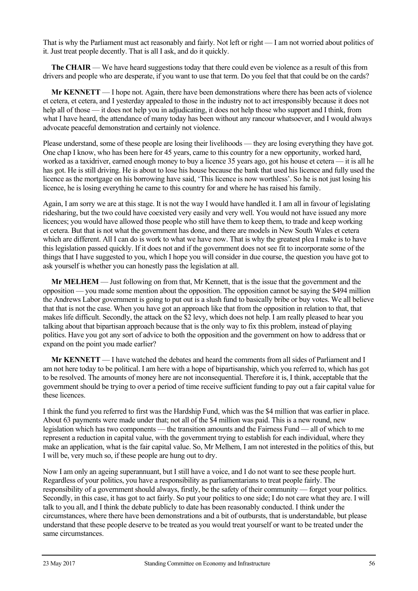That is why the Parliament must act reasonably and fairly. Not left or right — I am not worried about politics of it. Just treat people decently. That is all I ask, and do it quickly.

**The CHAIR** — We have heard suggestions today that there could even be violence as a result of this from drivers and people who are desperate, if you want to use that term. Do you feel that that could be on the cards?

**Mr KENNETT** — I hope not. Again, there have been demonstrations where there has been acts of violence et cetera, et cetera, and I yesterday appealed to those in the industry not to act irresponsibly because it does not help all of those — it does not help you in adjudicating, it does not help those who support and I think, from what I have heard, the attendance of many today has been without any rancour whatsoever, and I would always advocate peaceful demonstration and certainly not violence.

Please understand, some of these people are losing their livelihoods — they are losing everything they have got. One chap I know, who has been here for 45 years, came to this country for a new opportunity, worked hard, worked as a taxidriver, earned enough money to buy a licence 35 years ago, got his house et cetera — it is all he has got. He is still driving. He is about to lose his house because the bank that used his licence and fully used the licence as the mortgage on his borrowing have said, 'This licence is now worthless'. So he is not just losing his licence, he is losing everything he came to this country for and where he has raised his family.

Again, I am sorry we are at this stage. It is not the way I would have handled it. I am all in favour of legislating ridesharing, but the two could have coexisted very easily and very well. You would not have issued any more licences; you would have allowed those people who still have them to keep them, to trade and keep working et cetera. But that is not what the government has done, and there are models in New South Wales et cetera which are different. All I can do is work to what we have now. That is why the greatest plea I make is to have this legislation passed quickly. If it does not and if the government does not see fit to incorporate some of the things that I have suggested to you, which I hope you will consider in due course, the question you have got to ask yourself is whether you can honestly pass the legislation at all.

**Mr MELHEM** — Just following on from that, Mr Kennett, that is the issue that the government and the opposition — you made some mention about the opposition. The opposition cannot be saying the \$494 million the Andrews Labor government is going to put out is a slush fund to basically bribe or buy votes. We all believe that that is not the case. When you have got an approach like that from the opposition in relation to that, that makes life difficult. Secondly, the attack on the \$2 levy, which does not help. I am really pleased to hear you talking about that bipartisan approach because that is the only way to fix this problem, instead of playing politics. Have you got any sort of advice to both the opposition and the government on how to address that or expand on the point you made earlier?

**Mr KENNETT** — I have watched the debates and heard the comments from all sides of Parliament and I am not here today to be political. I am here with a hope of bipartisanship, which you referred to, which has got to be resolved. The amounts of money here are not inconsequential. Therefore it is, I think, acceptable that the government should be trying to over a period of time receive sufficient funding to pay out a fair capital value for these licences.

I think the fund you referred to first was the Hardship Fund, which was the \$4 million that was earlier in place. About 63 payments were made under that; not all of the \$4 million was paid. This is a new round, new legislation which has two components — the transition amounts and the Fairness Fund — all of which to me represent a reduction in capital value, with the government trying to establish for each individual, where they make an application, what is the fair capital value. So, Mr Melhem, I am not interested in the politics of this, but I will be, very much so, if these people are hung out to dry.

Now I am only an ageing superannuant, but I still have a voice, and I do not want to see these people hurt. Regardless of your politics, you have a responsibility as parliamentarians to treat people fairly. The responsibility of a government should always, firstly, be the safety of their community — forget your politics. Secondly, in this case, it has got to act fairly. So put your politics to one side; I do not care what they are. I will talk to you all, and I think the debate publicly to date has been reasonably conducted. I think under the circumstances, where there have been demonstrations and a bit of outbursts, that is understandable, but please understand that these people deserve to be treated as you would treat yourself or want to be treated under the same circumstances.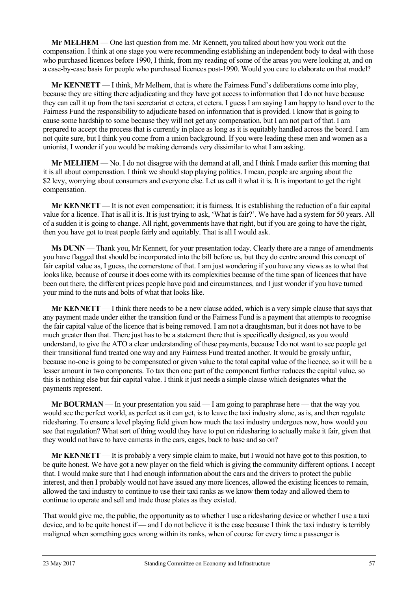**Mr MELHEM** — One last question from me. Mr Kennett, you talked about how you work out the compensation. I think at one stage you were recommending establishing an independent body to deal with those who purchased licences before 1990, I think, from my reading of some of the areas you were looking at, and on a case-by-case basis for people who purchased licences post-1990. Would you care to elaborate on that model?

**Mr KENNETT** — I think, Mr Melhem, that is where the Fairness Fund's deliberations come into play, because they are sitting there adjudicating and they have got access to information that I do not have because they can call it up from the taxi secretariat et cetera, et cetera. I guess I am saying I am happy to hand over to the Fairness Fund the responsibility to adjudicate based on information that is provided. I know that is going to cause some hardship to some because they will not get any compensation, but I am not part of that. I am prepared to accept the process that is currently in place as long as it is equitably handled across the board. I am not quite sure, but I think you come from a union background. If you were leading these men and women as a unionist, I wonder if you would be making demands very dissimilar to what I am asking.

**Mr MELHEM** — No. I do not disagree with the demand at all, and I think I made earlier this morning that it is all about compensation. I think we should stop playing politics. I mean, people are arguing about the \$2 levy, worrying about consumers and everyone else. Let us call it what it is. It is important to get the right compensation.

**Mr KENNETT** — It is not even compensation; it is fairness. It is establishing the reduction of a fair capital value for a licence. That is all it is. It is just trying to ask, 'What is fair?'. We have had a system for 50 years. All of a sudden it is going to change. All right, governments have that right, but if you are going to have the right, then you have got to treat people fairly and equitably. That is all I would ask.

**Ms DUNN** — Thank you, Mr Kennett, for your presentation today. Clearly there are a range of amendments you have flagged that should be incorporated into the bill before us, but they do centre around this concept of fair capital value as, I guess, the cornerstone of that. I am just wondering if you have any views as to what that looks like, because of course it does come with its complexities because of the time span of licences that have been out there, the different prices people have paid and circumstances, and I just wonder if you have turned your mind to the nuts and bolts of what that looks like.

**Mr KENNETT** — I think there needs to be a new clause added, which is a very simple clause that says that any payment made under either the transition fund or the Fairness Fund is a payment that attempts to recognise the fair capital value of the licence that is being removed. I am not a draughtsman, but it does not have to be much greater than that. There just has to be a statement there that is specifically designed, as you would understand, to give the ATO a clear understanding of these payments, because I do not want to see people get their transitional fund treated one way and any Fairness Fund treated another. It would be grossly unfair, because no-one is going to be compensated or given value to the total capital value of the licence, so it will be a lesser amount in two components. To tax then one part of the component further reduces the capital value, so this is nothing else but fair capital value. I think it just needs a simple clause which designates what the payments represent.

**Mr BOURMAN** — In your presentation you said — I am going to paraphrase here — that the way you would see the perfect world, as perfect as it can get, is to leave the taxi industry alone, as is, and then regulate ridesharing. To ensure a level playing field given how much the taxi industry undergoes now, how would you see that regulation? What sort of thing would they have to put on ridesharing to actually make it fair, given that they would not have to have cameras in the cars, cages, back to base and so on?

**Mr KENNETT** — It is probably a very simple claim to make, but I would not have got to this position, to be quite honest. We have got a new player on the field which is giving the community different options. I accept that. I would make sure that I had enough information about the cars and the drivers to protect the public interest, and then I probably would not have issued any more licences, allowed the existing licences to remain, allowed the taxi industry to continue to use their taxi ranks as we know them today and allowed them to continue to operate and sell and trade those plates as they existed.

That would give me, the public, the opportunity as to whether I use a ridesharing device or whether I use a taxi device, and to be quite honest if — and I do not believe it is the case because I think the taxi industry is terribly maligned when something goes wrong within its ranks, when of course for every time a passenger is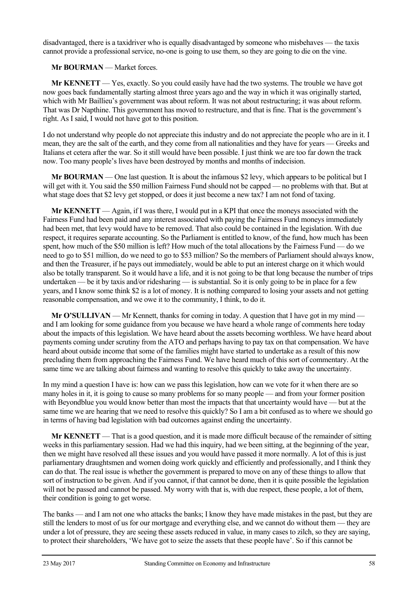disadvantaged, there is a taxidriver who is equally disadvantaged by someone who misbehaves — the taxis cannot provide a professional service, no-one is going to use them, so they are going to die on the vine.

## **Mr BOURMAN** — Market forces.

**Mr KENNETT** — Yes, exactly. So you could easily have had the two systems. The trouble we have got now goes back fundamentally starting almost three years ago and the way in which it was originally started, which with Mr Baillieu's government was about reform. It was not about restructuring; it was about reform. That was Dr Napthine. This government has moved to restructure, and that is fine. That is the government's right. As I said, I would not have got to this position.

I do not understand why people do not appreciate this industry and do not appreciate the people who are in it. I mean, they are the salt of the earth, and they come from all nationalities and they have for years — Greeks and Italians et cetera after the war. So it still would have been possible. I just think we are too far down the track now. Too many people's lives have been destroyed by months and months of indecision.

**Mr BOURMAN** — One last question. It is about the infamous \$2 levy, which appears to be political but I will get with it. You said the \$50 million Fairness Fund should not be capped — no problems with that. But at what stage does that \$2 levy get stopped, or does it just become a new tax? I am not fond of taxing.

**Mr KENNETT** — Again, if I was there, I would put in a KPI that once the moneys associated with the Fairness Fund had been paid and any interest associated with paying the Fairness Fund moneys immediately had been met, that levy would have to be removed. That also could be contained in the legislation. With due respect, it requires separate accounting. So the Parliament is entitled to know, of the fund, how much has been spent, how much of the \$50 million is left? How much of the total allocations by the Fairness Fund — do we need to go to \$51 million, do we need to go to \$53 million? So the members of Parliament should always know, and then the Treasurer, if he pays out immediately, would be able to put an interest charge on it which would also be totally transparent. So it would have a life, and it is not going to be that long because the number of trips undertaken — be it by taxis and/or ridesharing — is substantial. So it is only going to be in place for a few years, and I know some think \$2 is a lot of money. It is nothing compared to losing your assets and not getting reasonable compensation, and we owe it to the community, I think, to do it.

**Mr O'SULLIVAN** — Mr Kennett, thanks for coming in today. A question that I have got in my mind and I am looking for some guidance from you because we have heard a whole range of comments here today about the impacts of this legislation. We have heard about the assets becoming worthless. We have heard about payments coming under scrutiny from the ATO and perhaps having to pay tax on that compensation. We have heard about outside income that some of the families might have started to undertake as a result of this now precluding them from approaching the Fairness Fund. We have heard much of this sort of commentary. At the same time we are talking about fairness and wanting to resolve this quickly to take away the uncertainty.

In my mind a question I have is: how can we pass this legislation, how can we vote for it when there are so many holes in it, it is going to cause so many problems for so many people — and from your former position with Beyondblue you would know better than most the impacts that that uncertainty would have — but at the same time we are hearing that we need to resolve this quickly? So I am a bit confused as to where we should go in terms of having bad legislation with bad outcomes against ending the uncertainty.

**Mr KENNETT** — That is a good question, and it is made more difficult because of the remainder of sitting weeks in this parliamentary session. Had we had this inquiry, had we been sitting, at the beginning of the year, then we might have resolved all these issues and you would have passed it more normally. A lot of this is just parliamentary draughtsmen and women doing work quickly and efficiently and professionally, and I think they can do that. The real issue is whether the government is prepared to move on any of these things to allow that sort of instruction to be given. And if you cannot, if that cannot be done, then it is quite possible the legislation will not be passed and cannot be passed. My worry with that is, with due respect, these people, a lot of them, their condition is going to get worse.

The banks — and I am not one who attacks the banks; I know they have made mistakes in the past, but they are still the lenders to most of us for our mortgage and everything else, and we cannot do without them — they are under a lot of pressure, they are seeing these assets reduced in value, in many cases to zilch, so they are saying, to protect their shareholders, 'We have got to seize the assets that these people have'. So if this cannot be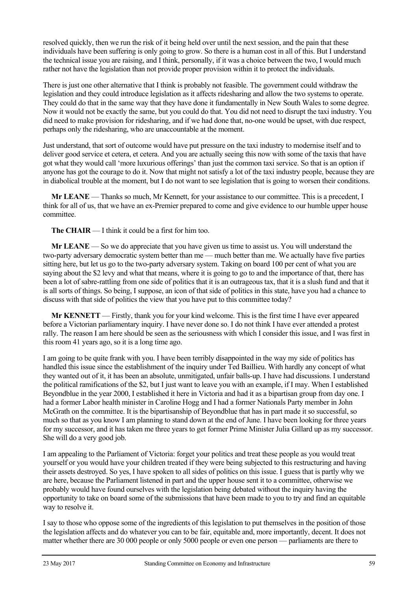resolved quickly, then we run the risk of it being held over until the next session, and the pain that these individuals have been suffering is only going to grow. So there is a human cost in all of this. But I understand the technical issue you are raising, and I think, personally, if it was a choice between the two, I would much rather not have the legislation than not provide proper provision within it to protect the individuals.

There is just one other alternative that I think is probably not feasible. The government could withdraw the legislation and they could introduce legislation as it affects ridesharing and allow the two systems to operate. They could do that in the same way that they have done it fundamentally in New South Wales to some degree. Now it would not be exactly the same, but you could do that. You did not need to disrupt the taxi industry. You did need to make provision for ridesharing, and if we had done that, no-one would be upset, with due respect, perhaps only the ridesharing, who are unaccountable at the moment.

Just understand, that sort of outcome would have put pressure on the taxi industry to modernise itself and to deliver good service et cetera, et cetera. And you are actually seeing this now with some of the taxis that have got what they would call 'more luxurious offerings' than just the common taxi service. So that is an option if anyone has got the courage to do it. Now that might not satisfy a lot of the taxi industry people, because they are in diabolical trouble at the moment, but I do not want to see legislation that is going to worsen their conditions.

**Mr LEANE** — Thanks so much, Mr Kennett, for your assistance to our committee. This is a precedent, I think for all of us, that we have an ex-Premier prepared to come and give evidence to our humble upper house committee.

**The CHAIR** — I think it could be a first for him too.

**Mr LEANE** — So we do appreciate that you have given us time to assist us. You will understand the two-party adversary democratic system better than me — much better than me. We actually have five parties sitting here, but let us go to the two-party adversary system. Taking on board 100 per cent of what you are saying about the \$2 levy and what that means, where it is going to go to and the importance of that, there has been a lot of sabre-rattling from one side of politics that it is an outrageous tax, that it is a slush fund and that it is all sorts of things. So being, I suppose, an icon of that side of politics in this state, have you had a chance to discuss with that side of politics the view that you have put to this committee today?

**Mr KENNETT** — Firstly, thank you for your kind welcome. This is the first time I have ever appeared before a Victorian parliamentary inquiry. I have never done so. I do not think I have ever attended a protest rally. The reason I am here should be seen as the seriousness with which I consider this issue, and I was first in this room 41 years ago, so it is a long time ago.

I am going to be quite frank with you. I have been terribly disappointed in the way my side of politics has handled this issue since the establishment of the inquiry under Ted Baillieu. With hardly any concept of what they wanted out of it, it has been an absolute, unmitigated, unfair balls-up. I have had discussions. I understand the political ramifications of the \$2, but I just want to leave you with an example, if I may. When I established Beyondblue in the year 2000, I established it here in Victoria and had it as a bipartisan group from day one. I had a former Labor health minister in Caroline Hogg and I had a former Nationals Party member in John McGrath on the committee. It is the bipartisanship of Beyondblue that has in part made it so successful, so much so that as you know I am planning to stand down at the end of June. I have been looking for three years for my successor, and it has taken me three years to get former Prime Minister Julia Gillard up as my successor. She will do a very good job.

I am appealing to the Parliament of Victoria: forget your politics and treat these people as you would treat yourself or you would have your children treated if they were being subjected to this restructuring and having their assets destroyed. So yes, I have spoken to all sides of politics on this issue. I guess that is partly why we are here, because the Parliament listened in part and the upper house sent it to a committee, otherwise we probably would have found ourselves with the legislation being debated without the inquiry having the opportunity to take on board some of the submissions that have been made to you to try and find an equitable way to resolve it.

I say to those who oppose some of the ingredients of this legislation to put themselves in the position of those the legislation affects and do whatever you can to be fair, equitable and, more importantly, decent. It does not matter whether there are 30 000 people or only 5000 people or even one person — parliaments are there to